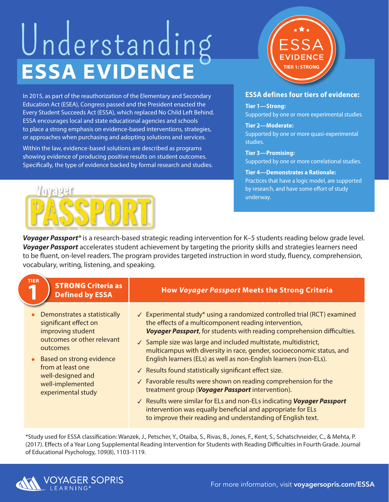## **ESSA EVIDENCE** Understanding

In 2015, as part of the reauthorization of the Elementary and Secondary Education Act (ESEA), Congress passed and the President enacted the Every Student Succeeds Act (ESSA), which replaced No Child Left Behind. ESSA encourages local and state educational agencies and schools to place a strong emphasis on evidence-based interventions, strategies, or approaches when purchasing and adopting solutions and services.

Within the law, evidence-based solutions are described as programs showing evidence of producing positive results on student outcomes. Specifically, the type of evidence backed by formal research and studies.



## **ESSA defines four tiers of evidence:**

**TIER 1: STRONG**

**Tier 1—Strong:**  Supported by one or more experimental studies.

**Tier 2—Moderate:**  Supported by one or more quasi-experimental studies.

**Tier 3—Promising:**  Supported by one or more correlational studies.

## **Tier 4—Demonstrates a Rationale:**  Practices that have a logic model, are supported

by research, and have some effort of study underway.

*Voyager Passport®* is a research-based strategic reading intervention for K–5 students reading below grade level. *Voyager Passport* accelerates student achievement by targeting the priority skills and strategies learners need to be fluent, on-level readers. The program provides targeted instruction in word study, fluency, comprehension, vocabulary, writing, listening, and speaking.

| <b>TIER</b><br><b>STRONG Criteria as</b><br><b>Defined by ESSA</b>                                                                                                                                                                   | <b>How Voyager Passport Meets the Strong Criteria</b>                                                                                                                                                                                                                                                                                                                                                                                                                                                                                                                                                                                                                                                                                                                                                                             |
|--------------------------------------------------------------------------------------------------------------------------------------------------------------------------------------------------------------------------------------|-----------------------------------------------------------------------------------------------------------------------------------------------------------------------------------------------------------------------------------------------------------------------------------------------------------------------------------------------------------------------------------------------------------------------------------------------------------------------------------------------------------------------------------------------------------------------------------------------------------------------------------------------------------------------------------------------------------------------------------------------------------------------------------------------------------------------------------|
| Demonstrates a statistically<br>significant effect on<br>improving student<br>outcomes or other relevant<br>outcomes<br>Based on strong evidence<br>from at least one<br>well-designed and<br>well-implemented<br>experimental study | √ Experimental study* using a randomized controlled trial (RCT) examined<br>the effects of a multicomponent reading intervention,<br>Voyager Passport, for students with reading comprehension difficulties.<br>✓ Sample size was large and included multistate, multidistrict,<br>multicampus with diversity in race, gender, socioeconomic status, and<br>English learners (ELs) as well as non-English learners (non-ELs).<br>√ Results found statistically significant effect size.<br>$\checkmark$ Favorable results were shown on reading comprehension for the<br>treatment group (Voyager Passport intervention).<br>√ Results were similar for ELs and non-ELs indicating Voyager Passport<br>intervention was equally beneficial and appropriate for ELs<br>to improve their reading and understanding of English text. |

\*Study used for ESSA classification: Wanzek, J., Petscher, Y., Otaiba, S., Rivas, B., Jones, F., Kent, S., Schatschneider, C., & Mehta, P. (2017). Effects of a Year Long Supplemental Reading Intervention for Students with Reading Difficulties in Fourth Grade. Journal of Educational Psychology, 109(8), 1103-1119.